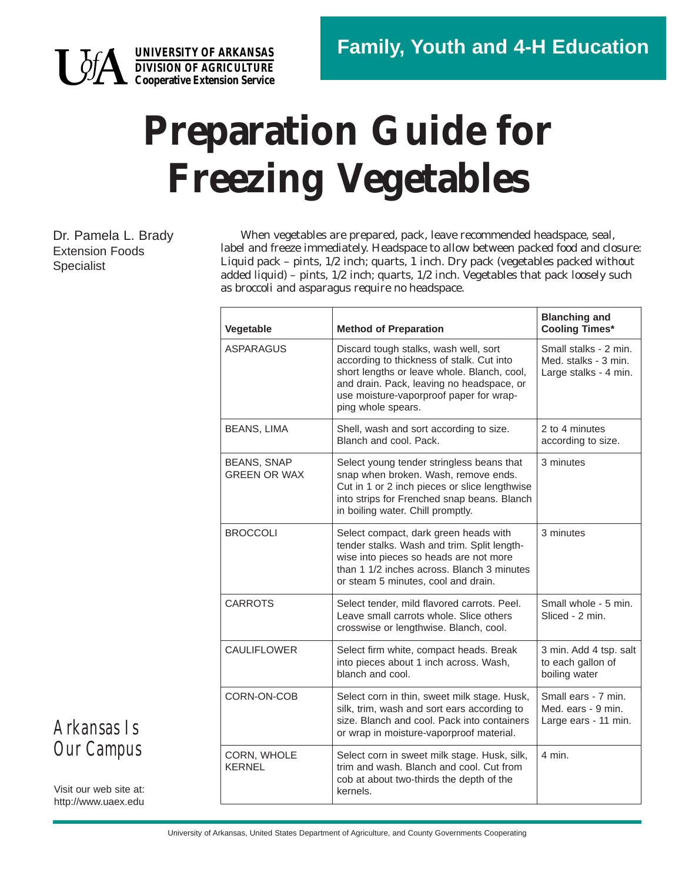

**UNIVERSITY OF ARKANSAS DIVISION OF AGRICULTURE Cooperative Extension Service**

## **Preparation Guide for Freezing Vegetables**

Dr. Pamela L. Brady Extension Foods Specialist

When vegetables are prepared, pack, leave recommended headspace, seal, label and freeze immediately. Headspace to allow between packed food and closure: Liquid pack – pints, 1/2 inch; quarts, 1 inch. Dry pack (vegetables packed without added liquid) – pints, 1/2 inch; quarts, 1/2 inch. Vegetables that pack loosely such as broccoli and asparagus require no headspace.

| Vegetable                                 | <b>Method of Preparation</b>                                                                                                                                                                                                                    | <b>Blanching and</b><br><b>Cooling Times*</b>                          |  |
|-------------------------------------------|-------------------------------------------------------------------------------------------------------------------------------------------------------------------------------------------------------------------------------------------------|------------------------------------------------------------------------|--|
| ASPARAGUS                                 | Discard tough stalks, wash well, sort<br>according to thickness of stalk. Cut into<br>short lengths or leave whole. Blanch, cool,<br>and drain. Pack, leaving no headspace, or<br>use moisture-vaporproof paper for wrap-<br>ping whole spears. | Small stalks - 2 min.<br>Med. stalks - 3 min.<br>Large stalks - 4 min. |  |
| <b>BEANS, LIMA</b>                        | Shell, wash and sort according to size.<br>Blanch and cool. Pack.                                                                                                                                                                               | 2 to 4 minutes<br>according to size.                                   |  |
| <b>BEANS, SNAP</b><br><b>GREEN OR WAX</b> | 3 minutes<br>Select young tender stringless beans that<br>snap when broken. Wash, remove ends.<br>Cut in 1 or 2 inch pieces or slice lengthwise<br>into strips for Frenched snap beans. Blanch<br>in boiling water. Chill promptly.             |                                                                        |  |
| <b>BROCCOLI</b>                           | Select compact, dark green heads with<br>tender stalks. Wash and trim. Split length-<br>wise into pieces so heads are not more<br>than 1 1/2 inches across. Blanch 3 minutes<br>or steam 5 minutes, cool and drain.                             | 3 minutes                                                              |  |
| <b>CARROTS</b>                            | Select tender, mild flavored carrots. Peel.<br>Leave small carrots whole. Slice others<br>crosswise or lengthwise. Blanch, cool.                                                                                                                | Small whole - 5 min.<br>Sliced - 2 min.                                |  |
| <b>CAULIFLOWER</b>                        | Select firm white, compact heads. Break<br>into pieces about 1 inch across. Wash,<br>blanch and cool.                                                                                                                                           | 3 min. Add 4 tsp. salt<br>to each gallon of<br>boiling water           |  |
| CORN-ON-COB                               | Select corn in thin, sweet milk stage. Husk,<br>silk, trim, wash and sort ears according to<br>size. Blanch and cool. Pack into containers<br>or wrap in moisture-vaporproof material.                                                          | Small ears - 7 min.<br>Med. ears - 9 min.<br>Large ears - 11 min.      |  |
| CORN, WHOLE<br><b>KERNEL</b>              | Select corn in sweet milk stage. Husk, silk,<br>trim and wash. Blanch and cool. Cut from<br>cob at about two-thirds the depth of the<br>kernels.                                                                                                | 4 min.                                                                 |  |

*Arkansas Is Our Campus*

Visit our web site at: http://www.uaex.edu